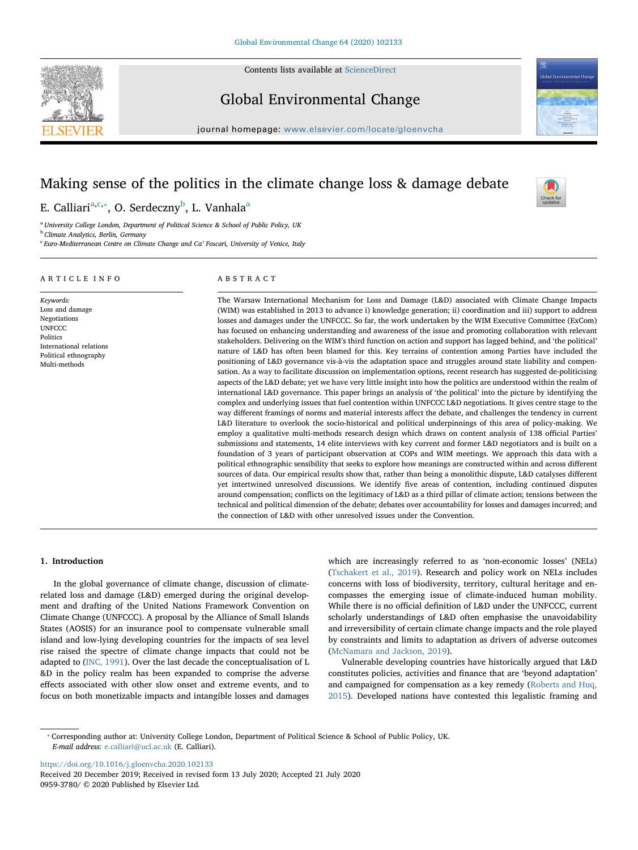

 $\frac{N}{2}$ 

Global Environmental Change

Contents lists available at [ScienceDirect](http://www.sciencedirect.com/science/journal/09593780)

 $j$ ournal homepage: [www.elsevier.com/locate/gloenvcha](https://www.elsevier.com/locate/gloenvcha)al/

# Making sense of the politics in the climate change loss & damage debate

ABSTRACT

E. C[a](#page-0-0)lliari<sup>a,[c](#page-0-1),</sup>\*, O. Serdeczny<sup>[b](#page-0-3)</sup>, L. Vanhala<sup>a</sup>

<span id="page-0-0"></span><sup>a</sup> University College London, Department of Political Science & School of Public Policy, UK

<span id="page-0-3"></span>**b** Climate Analytics, Berlin, Germany

ARTICLE INFO

<span id="page-0-1"></span> $c$  Euro-Mediterranean Centre on Climate Change and Ca' Foscari, University of Venice, Italy

#### Keywords: Loss and damage Negotiations **UNFCCC** Politics International relations Political ethnography Multi-methods The Warsaw International Mechanism for Loss and Damage (L&D) associated with Climate Change Impacts (WIM) was established in 2013 to advance i) knowledge generation; ii) coordination and iii) support to address losses and damages under the UNFCCC. So far, the work undertaken by the WIM Executive Committee (ExCom) has focused on enhancing understanding and awareness of the issue and promoting collaboration with relevant stakeholders. Delivering on the WIM's third function on action and support has lagged behind, and 'the political' nature of L&D has often been blamed for this. Key terrains of contention among Parties have included the positioning of L&D governance vis-à-vis the adaptation space and struggles around state liability and compensation. As a way to facilitate discussion on implementation options, recent research has suggested de-politicising aspects of the L&D debate; yet we have very little insight into how the politics are understood within the realm of international L&D governance. This paper brings an analysis of 'the political' into the picture by identifying the complex and underlying issues that fuel contention within UNFCCC L&D negotiations. It gives centre stage to the way different framings of norms and material interests affect the debate, and challenges the tendency in current L&D literature to overlook the socio-historical and political underpinnings of this area of policy-making. We employ a qualitative multi-methods research design which draws on content analysis of 138 official Parties' submissions and statements, 14 elite interviews with key current and former L&D negotiators and is built on a foundation of 3 years of participant observation at COPs and WIM meetings. We approach this data with a political ethnographic sensibility that seeks to explore how meanings are constructed within and across different sources of data. Our empirical results show that, rather than being a monolithic dispute, L&D catalyses different yet intertwined unresolved discussions. We identify five areas of contention, including continued disputes around compensation; conflicts on the legitimacy of L&D as a third pillar of climate action; tensions between the technical and political dimension of the debate; debates over accountability for losses and damages incurred; and the connection of L&D with other unresolved issues under the Convention.

# 1. Introduction

In the global governance of climate change, discussion of climaterelated loss and damage (L&D) emerged during the original development and drafting of the United Nations Framework Convention on Climate Change (UNFCCC). A proposal by the Alliance of Small Islands States (AOSIS) for an insurance pool to compensate vulnerable small island and low-lying developing countries for the impacts of sea level rise raised the spectre of climate change impacts that could not be adapted to [\(INC, 1991](#page-8-0)). Over the last decade the conceptualisation of L &D in the policy realm has been expanded to comprise the adverse effects associated with other slow onset and extreme events, and to focus on both monetizable impacts and intangible losses and damages

which are increasingly referred to as 'non-economic losses' (NELs) ([Tschakert et al., 2019](#page-8-1)). Research and policy work on NELs includes concerns with loss of biodiversity, territory, cultural heritage and encompasses the emerging issue of climate-induced human mobility. While there is no official definition of L&D under the UNFCCC, current scholarly understandings of L&D often emphasise the unavoidability and irreversibility of certain climate change impacts and the role played by constraints and limits to adaptation as drivers of adverse outcomes ([McNamara and Jackson, 2019](#page-8-2)).

Vulnerable developing countries have historically argued that L&D constitutes policies, activities and finance that are 'beyond adaptation' and campaigned for compensation as a key remedy [\(Roberts and Huq,](#page-8-3) [2015\)](#page-8-3). Developed nations have contested this legalistic framing and

<https://doi.org/10.1016/j.gloenvcha.2020.102133>

<span id="page-0-2"></span><sup>⁎</sup> Corresponding author at: University College London, Department of Political Science & School of Public Policy, UK. E-mail address: [e.calliari@ucl.ac.uk](mailto:e.calliari@ucl.ac.uk) (E. Calliari).

Received 20 December 2019; Received in revised form 13 July 2020; Accepted 21 July 2020 0959-3780/ © 2020 Published by Elsevier Ltd.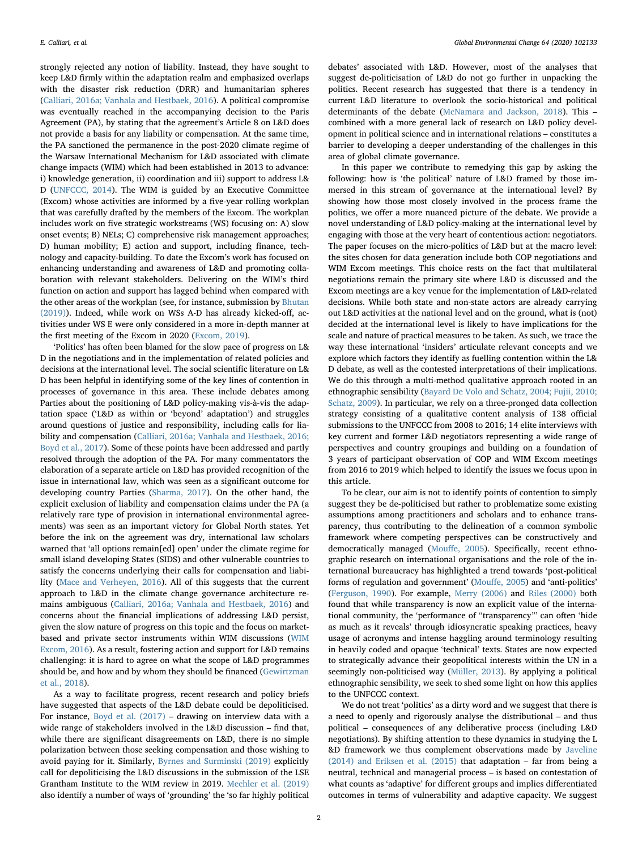strongly rejected any notion of liability. Instead, they have sought to keep L&D firmly within the adaptation realm and emphasized overlaps with the disaster risk reduction (DRR) and humanitarian spheres ([Calliari, 2016a; Vanhala and Hestbaek, 2016](#page-8-4)). A political compromise was eventually reached in the accompanying decision to the Paris Agreement (PA), by stating that the agreement's Article 8 on L&D does not provide a basis for any liability or compensation. At the same time, the PA sanctioned the permanence in the post-2020 climate regime of the Warsaw International Mechanism for L&D associated with climate change impacts (WIM) which had been established in 2013 to advance: i) knowledge generation, ii) coordination and iii) support to address L& D ([UNFCCC, 2014](#page-8-5)). The WIM is guided by an Executive Committee (Excom) whose activities are informed by a five-year rolling workplan that was carefully drafted by the members of the Excom. The workplan includes work on five strategic workstreams (WS) focusing on: A) slow onset events; B) NELs; C) comprehensive risk management approaches; D) human mobility; E) action and support, including finance, technology and capacity-building. To date the Excom's work has focused on enhancing understanding and awareness of L&D and promoting collaboration with relevant stakeholders. Delivering on the WIM's third function on action and support has lagged behind when compared with the other areas of the workplan (see, for instance, submission by [Bhutan](#page-7-0) [\(2019\)\)](#page-7-0). Indeed, while work on WSs A-D has already kicked-off, activities under WS E were only considered in a more in-depth manner at the first meeting of the Excom in 2020 [\(Excom, 2019](#page-8-6)).

'Politics' has often been blamed for the slow pace of progress on L& D in the negotiations and in the implementation of related policies and decisions at the international level. The social scientific literature on L& D has been helpful in identifying some of the key lines of contention in processes of governance in this area. These include debates among Parties about the positioning of L&D policy-making vis-à-vis the adaptation space ('L&D as within or 'beyond' adaptation') and struggles around questions of justice and responsibility, including calls for liability and compensation [\(Calliari, 2016a; Vanhala and Hestbaek, 2016;](#page-8-4) [Boyd et al., 2017](#page-8-4)). Some of these points have been addressed and partly resolved through the adoption of the PA. For many commentators the elaboration of a separate article on L&D has provided recognition of the issue in international law, which was seen as a significant outcome for developing country Parties [\(Sharma, 2017\)](#page-8-7). On the other hand, the explicit exclusion of liability and compensation claims under the PA (a relatively rare type of provision in international environmental agreements) was seen as an important victory for Global North states. Yet before the ink on the agreement was dry, international law scholars warned that 'all options remain[ed] open' under the climate regime for small island developing States (SIDS) and other vulnerable countries to satisfy the concerns underlying their calls for compensation and liability ([Mace and Verheyen, 2016\)](#page-8-8). All of this suggests that the current approach to L&D in the climate change governance architecture remains ambiguous [\(Calliari, 2016a; Vanhala and Hestbaek, 2016](#page-8-4)) and concerns about the financial implications of addressing L&D persist, given the slow nature of progress on this topic and the focus on marketbased and private sector instruments within WIM discussions ([WIM](#page-9-0) [Excom, 2016](#page-9-0)). As a result, fostering action and support for L&D remains challenging: it is hard to agree on what the scope of L&D programmes should be, and how and by whom they should be financed ([Gewirtzman](#page-8-9) [et al., 2018](#page-8-9)).

As a way to facilitate progress, recent research and policy briefs have suggested that aspects of the L&D debate could be depoliticised. For instance, [Boyd et al. \(2017\)](#page-7-1) – drawing on interview data with a wide range of stakeholders involved in the L&D discussion – find that, while there are significant disagreements on L&D, there is no simple polarization between those seeking compensation and those wishing to avoid paying for it. Similarly, [Byrnes and Surminski \(2019\)](#page-7-2) explicitly call for depoliticising the L&D discussions in the submission of the LSE Grantham Institute to the WIM review in 2019. [Mechler et al. \(2019\)](#page-8-10) also identify a number of ways of 'grounding' the 'so far highly political

debates' associated with L&D. However, most of the analyses that suggest de-politicisation of L&D do not go further in unpacking the politics. Recent research has suggested that there is a tendency in current L&D literature to overlook the socio-historical and political determinants of the debate ([McNamara and Jackson, 2018](#page-8-11)). This – combined with a more general lack of research on L&D policy development in political science and in international relations – constitutes a barrier to developing a deeper understanding of the challenges in this area of global climate governance.

In this paper we contribute to remedying this gap by asking the following: how is 'the political' nature of L&D framed by those immersed in this stream of governance at the international level? By showing how those most closely involved in the process frame the politics, we offer a more nuanced picture of the debate. We provide a novel understanding of L&D policy-making at the international level by engaging with those at the very heart of contentious action: negotiators. The paper focuses on the micro-politics of L&D but at the macro level: the sites chosen for data generation include both COP negotiations and WIM Excom meetings. This choice rests on the fact that multilateral negotiations remain the primary site where L&D is discussed and the Excom meetings are a key venue for the implementation of L&D-related decisions. While both state and non-state actors are already carrying out L&D activities at the national level and on the ground, what is (not) decided at the international level is likely to have implications for the scale and nature of practical measures to be taken. As such, we trace the way these international 'insiders' articulate relevant concepts and we explore which factors they identify as fuelling contention within the L& D debate, as well as the contested interpretations of their implications. We do this through a multi-method qualitative approach rooted in an ethnographic sensibility ([Bayard De Volo and Schatz, 2004; Fujii, 2010;](#page-7-3) [Schatz, 2009\)](#page-7-3). In particular, we rely on a three-pronged data collection strategy consisting of a qualitative content analysis of 138 official submissions to the UNFCCC from 2008 to 2016; 14 elite interviews with key current and former L&D negotiators representing a wide range of perspectives and country groupings and building on a foundation of 3 years of participant observation of COP and WIM Excom meetings from 2016 to 2019 which helped to identify the issues we focus upon in this article.

To be clear, our aim is not to identify points of contention to simply suggest they be de-politicised but rather to problematize some existing assumptions among practitioners and scholars and to enhance transparency, thus contributing to the delineation of a common symbolic framework where competing perspectives can be constructively and democratically managed (Mouff[e, 2005](#page-8-12)). Specifically, recent ethnographic research on international organisations and the role of the international bureaucracy has highlighted a trend towards 'post-political forms of regulation and government' (Mouff[e, 2005\)](#page-8-12) and 'anti-politics' ([Ferguson, 1990](#page-8-13)). For example, [Merry \(2006\)](#page-8-14) and [Riles \(2000\)](#page-8-15) both found that while transparency is now an explicit value of the international community, the 'performance of "transparency"' can often 'hide as much as it reveals' through idiosyncratic speaking practices, heavy usage of acronyms and intense haggling around terminology resulting in heavily coded and opaque 'technical' texts. States are now expected to strategically advance their geopolitical interests within the UN in a seemingly non-politicised way [\(Müller, 2013\)](#page-8-16). By applying a political ethnographic sensibility, we seek to shed some light on how this applies to the UNFCCC context.

We do not treat 'politics' as a dirty word and we suggest that there is a need to openly and rigorously analyse the distributional – and thus political – consequences of any deliberative process (including L&D negotiations). By shifting attention to these dynamics in studying the L &D framework we thus complement observations made by [Javeline](#page-8-17) [\(2014\) and Eriksen et al. \(2015\)](#page-8-17) that adaptation – far from being a neutral, technical and managerial process – is based on contestation of what counts as 'adaptive' for different groups and implies differentiated outcomes in terms of vulnerability and adaptive capacity. We suggest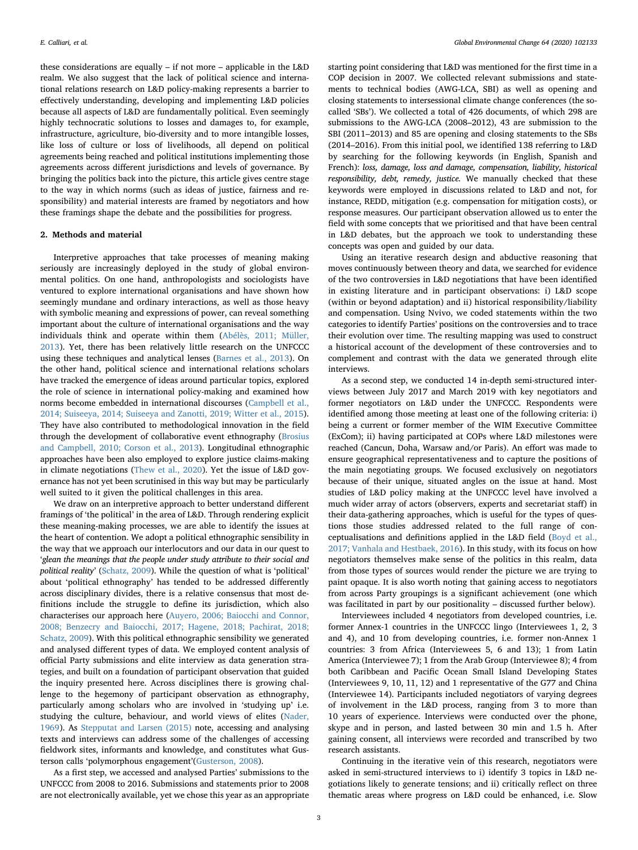these considerations are equally – if not more – applicable in the L&D realm. We also suggest that the lack of political science and international relations research on L&D policy-making represents a barrier to effectively understanding, developing and implementing L&D policies because all aspects of L&D are fundamentally political. Even seemingly highly technocratic solutions to losses and damages to, for example, infrastructure, agriculture, bio-diversity and to more intangible losses, like loss of culture or loss of livelihoods, all depend on political agreements being reached and political institutions implementing those agreements across different jurisdictions and levels of governance. By bringing the politics back into the picture, this article gives centre stage to the way in which norms (such as ideas of justice, fairness and responsibility) and material interests are framed by negotiators and how these framings shape the debate and the possibilities for progress.

# 2. Methods and material

Interpretive approaches that take processes of meaning making seriously are increasingly deployed in the study of global environmental politics. On one hand, anthropologists and sociologists have ventured to explore international organisations and have shown how seemingly mundane and ordinary interactions, as well as those heavy with symbolic meaning and expressions of power, can reveal something important about the culture of international organisations and the way individuals think and operate within them ([Abélès, 2011; Müller,](#page-7-4) [2013\)](#page-7-4). Yet, there has been relatively little research on the UNFCCC using these techniques and analytical lenses [\(Barnes et al., 2013](#page-7-5)). On the other hand, political science and international relations scholars have tracked the emergence of ideas around particular topics, explored the role of science in international policy-making and examined how norms become embedded in international discourses [\(Campbell et al.,](#page-8-18) [2014; Suiseeya, 2014; Suiseeya and Zanotti, 2019; Witter et al., 2015](#page-8-18)). They have also contributed to methodological innovation in the field through the development of collaborative event ethnography [\(Brosius](#page-7-6) [and Campbell, 2010; Corson et al., 2013\)](#page-7-6). Longitudinal ethnographic approaches have been also employed to explore justice claims-making in climate negotiations [\(Thew et al., 2020\)](#page-8-19). Yet the issue of L&D governance has not yet been scrutinised in this way but may be particularly well suited to it given the political challenges in this area.

We draw on an interpretive approach to better understand different framings of 'the political' in the area of L&D. Through rendering explicit these meaning-making processes, we are able to identify the issues at the heart of contention. We adopt a political ethnographic sensibility in the way that we approach our interlocutors and our data in our quest to 'glean the meanings that the people under study attribute to their social and political reality' [\(Schatz, 2009\)](#page-8-20). While the question of what is 'political' about 'political ethnography' has tended to be addressed differently across disciplinary divides, there is a relative consensus that most definitions include the struggle to define its jurisdiction, which also characterises our approach here [\(Auyero, 2006; Baiocchi and Connor,](#page-7-7) [2008; Benzecry and Baiocchi, 2017; Hagene, 2018; Pachirat, 2018;](#page-7-7) [Schatz, 2009\)](#page-7-7). With this political ethnographic sensibility we generated and analysed different types of data. We employed content analysis of official Party submissions and elite interview as data generation strategies, and built on a foundation of participant observation that guided the inquiry presented here. Across disciplines there is growing challenge to the hegemony of participant observation as ethnography, particularly among scholars who are involved in 'studying up' i.e. studying the culture, behaviour, and world views of elites [\(Nader,](#page-8-21) [1969\)](#page-8-21). As [Stepputat and Larsen \(2015\)](#page-8-22) note, accessing and analysing texts and interviews can address some of the challenges of accessing fieldwork sites, informants and knowledge, and constitutes what Gusterson calls 'polymorphous engagement'[\(Gusterson, 2008](#page-8-23)).

As a first step, we accessed and analysed Parties' submissions to the UNFCCC from 2008 to 2016. Submissions and statements prior to 2008 are not electronically available, yet we chose this year as an appropriate starting point considering that L&D was mentioned for the first time in a COP decision in 2007. We collected relevant submissions and statements to technical bodies (AWG-LCA, SBI) as well as opening and closing statements to intersessional climate change conferences (the socalled 'SBs'). We collected a total of 426 documents, of which 298 are submissions to the AWG-LCA (2008–2012), 43 are submission to the SBI (2011–2013) and 85 are opening and closing statements to the SBs (2014–2016). From this initial pool, we identified 138 referring to L&D by searching for the following keywords (in English, Spanish and French): loss, damage, loss and damage, compensation, liability, historical responsibility, debt, remedy, justice. We manually checked that these keywords were employed in discussions related to L&D and not, for instance, REDD, mitigation (e.g. compensation for mitigation costs), or response measures. Our participant observation allowed us to enter the field with some concepts that we prioritised and that have been central in L&D debates, but the approach we took to understanding these concepts was open and guided by our data.

Using an iterative research design and abductive reasoning that moves continuously between theory and data, we searched for evidence of the two controversies in L&D negotiations that have been identified in existing literature and in participant observations: i) L&D scope (within or beyond adaptation) and ii) historical responsibility/liability and compensation. Using Nvivo, we coded statements within the two categories to identify Parties' positions on the controversies and to trace their evolution over time. The resulting mapping was used to construct a historical account of the development of these controversies and to complement and contrast with the data we generated through elite interviews.

As a second step, we conducted 14 in-depth semi-structured interviews between July 2017 and March 2019 with key negotiators and former negotiators on L&D under the UNFCCC. Respondents were identified among those meeting at least one of the following criteria: i) being a current or former member of the WIM Executive Committee (ExCom); ii) having participated at COPs where L&D milestones were reached (Cancun, Doha, Warsaw and/or Paris). An effort was made to ensure geographical representativeness and to capture the positions of the main negotiating groups. We focused exclusively on negotiators because of their unique, situated angles on the issue at hand. Most studies of L&D policy making at the UNFCCC level have involved a much wider array of actors (observers, experts and secretariat staff) in their data-gathering approaches, which is useful for the types of questions those studies addressed related to the full range of conceptualisations and definitions applied in the L&D field [\(Boyd et al.,](#page-7-1) [2017; Vanhala and Hestbaek, 2016](#page-7-1)). In this study, with its focus on how negotiators themselves make sense of the politics in this realm, data from those types of sources would render the picture we are trying to paint opaque. It is also worth noting that gaining access to negotiators from across Party groupings is a significant achievement (one which was facilitated in part by our positionality – discussed further below).

Interviewees included 4 negotiators from developed countries, i.e. former Annex-1 countries in the UNFCCC lingo (Interviewees 1, 2, 3 and 4), and 10 from developing countries, i.e. former non-Annex 1 countries: 3 from Africa (Interviewees 5, 6 and 13); 1 from Latin America (Interviewee 7); 1 from the Arab Group (Interviewee 8); 4 from both Caribbean and Pacific Ocean Small Island Developing States (Interviewees 9, 10, 11, 12) and 1 representative of the G77 and China (Interviewee 14). Participants included negotiators of varying degrees of involvement in the L&D process, ranging from 3 to more than 10 years of experience. Interviews were conducted over the phone, skype and in person, and lasted between 30 min and 1.5 h. After gaining consent, all interviews were recorded and transcribed by two research assistants.

Continuing in the iterative vein of this research, negotiators were asked in semi-structured interviews to i) identify 3 topics in L&D negotiations likely to generate tensions; and ii) critically reflect on three thematic areas where progress on L&D could be enhanced, i.e. Slow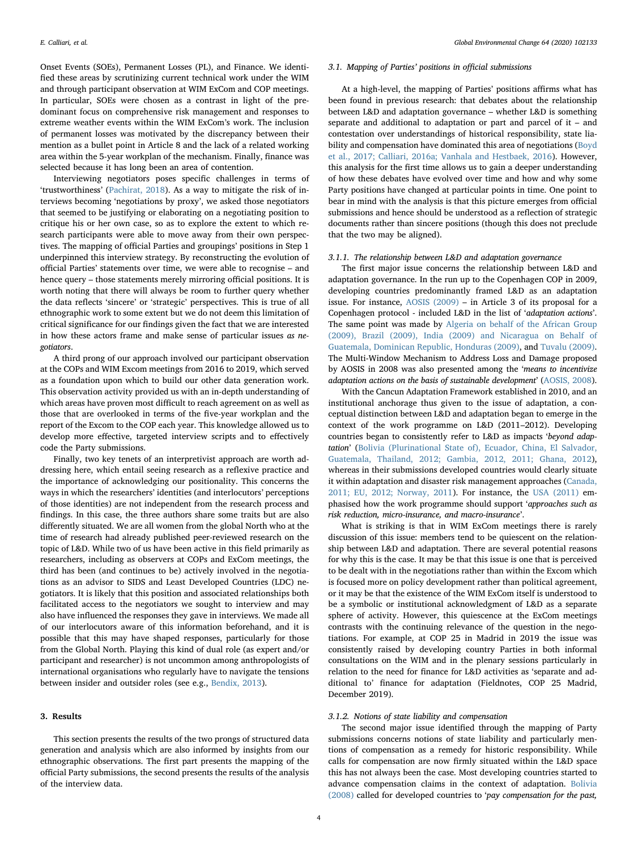Onset Events (SOEs), Permanent Losses (PL), and Finance. We identified these areas by scrutinizing current technical work under the WIM and through participant observation at WIM ExCom and COP meetings. In particular, SOEs were chosen as a contrast in light of the predominant focus on comprehensive risk management and responses to extreme weather events within the WIM ExCom's work. The inclusion of permanent losses was motivated by the discrepancy between their mention as a bullet point in Article 8 and the lack of a related working area within the 5-year workplan of the mechanism. Finally, finance was selected because it has long been an area of contention.

Interviewing negotiators poses specific challenges in terms of 'trustworthiness' ([Pachirat, 2018](#page-8-24)). As a way to mitigate the risk of interviews becoming 'negotiations by proxy', we asked those negotiators that seemed to be justifying or elaborating on a negotiating position to critique his or her own case, so as to explore the extent to which research participants were able to move away from their own perspectives. The mapping of official Parties and groupings' positions in Step 1 underpinned this interview strategy. By reconstructing the evolution of official Parties' statements over time, we were able to recognise – and hence query – those statements merely mirroring official positions. It is worth noting that there will always be room to further query whether the data reflects 'sincere' or 'strategic' perspectives. This is true of all ethnographic work to some extent but we do not deem this limitation of critical significance for our findings given the fact that we are interested in how these actors frame and make sense of particular issues as negotiators.

A third prong of our approach involved our participant observation at the COPs and WIM Excom meetings from 2016 to 2019, which served as a foundation upon which to build our other data generation work. This observation activity provided us with an in-depth understanding of which areas have proven most difficult to reach agreement on as well as those that are overlooked in terms of the five-year workplan and the report of the Excom to the COP each year. This knowledge allowed us to develop more effective, targeted interview scripts and to effectively code the Party submissions.

Finally, two key tenets of an interpretivist approach are worth addressing here, which entail seeing research as a reflexive practice and the importance of acknowledging our positionality. This concerns the ways in which the researchers' identities (and interlocutors' perceptions of those identities) are not independent from the research process and findings. In this case, the three authors share some traits but are also differently situated. We are all women from the global North who at the time of research had already published peer-reviewed research on the topic of L&D. While two of us have been active in this field primarily as researchers, including as observers at COPs and ExCom meetings, the third has been (and continues to be) actively involved in the negotiations as an advisor to SIDS and Least Developed Countries (LDC) negotiators. It is likely that this position and associated relationships both facilitated access to the negotiators we sought to interview and may also have influenced the responses they gave in interviews. We made all of our interlocutors aware of this information beforehand, and it is possible that this may have shaped responses, particularly for those from the Global North. Playing this kind of dual role (as expert and/or participant and researcher) is not uncommon among anthropologists of international organisations who regularly have to navigate the tensions between insider and outsider roles (see e.g., [Bendix, 2013](#page-7-8)).

# 3. Results

This section presents the results of the two prongs of structured data generation and analysis which are also informed by insights from our ethnographic observations. The first part presents the mapping of the official Party submissions, the second presents the results of the analysis of the interview data.

#### 3.1. Mapping of Parties' positions in official submissions

At a high-level, the mapping of Parties' positions affirms what has been found in previous research: that debates about the relationship between L&D and adaptation governance – whether L&D is something separate and additional to adaptation or part and parcel of it – and contestation over understandings of historical responsibility, state lia-bility and compensation have dominated this area of negotiations ([Boyd](#page-7-1) [et al., 2017; Calliari, 2016a; Vanhala and Hestbaek, 2016\)](#page-7-1). However, this analysis for the first time allows us to gain a deeper understanding of how these debates have evolved over time and how and why some Party positions have changed at particular points in time. One point to bear in mind with the analysis is that this picture emerges from official submissions and hence should be understood as a reflection of strategic documents rather than sincere positions (though this does not preclude that the two may be aligned).

# 3.1.1. The relationship between L&D and adaptation governance

The first major issue concerns the relationship between L&D and adaptation governance. In the run up to the Copenhagen COP in 2009, developing countries predominantly framed L&D as an adaptation issue. For instance, [AOSIS \(2009\)](#page-7-9) – in Article 3 of its proposal for a Copenhagen protocol - included L&D in the list of 'adaptation actions'. The same point was made by [Algeria on behalf of the African Group](#page-7-10) [\(2009\), Brazil \(2009\), India \(2009\) and Nicaragua on Behalf of](#page-7-10) [Guatemala, Dominican Republic, Honduras \(2009\)](#page-7-10), and [Tuvalu \(2009\)](#page-8-25). The Multi-Window Mechanism to Address Loss and Damage proposed by AOSIS in 2008 was also presented among the 'means to incentivize adaptation actions on the basis of sustainable development' ([AOSIS, 2008](#page-7-11)).

With the Cancun Adaptation Framework established in 2010, and an institutional anchorage thus given to the issue of adaptation, a conceptual distinction between L&D and adaptation began to emerge in the context of the work programme on L&D (2011–2012). Developing countries began to consistently refer to L&D as impacts 'beyond adaptation' ([Bolivia \(Plurinational State of\), Ecuador, China, El Salvador,](#page-7-12) [Guatemala, Thailand, 2012; Gambia, 2012, 2011; Ghana, 2012](#page-7-12)), whereas in their submissions developed countries would clearly situate it within adaptation and disaster risk management approaches [\(Canada,](#page-8-26) [2011; EU, 2012; Norway, 2011\)](#page-8-26). For instance, the [USA \(2011\)](#page-8-27) emphasised how the work programme should support 'approaches such as risk reduction, micro-insurance, and macro-insurance'.

What is striking is that in WIM ExCom meetings there is rarely discussion of this issue: members tend to be quiescent on the relationship between L&D and adaptation. There are several potential reasons for why this is the case. It may be that this issue is one that is perceived to be dealt with in the negotiations rather than within the Excom which is focused more on policy development rather than political agreement, or it may be that the existence of the WIM ExCom itself is understood to be a symbolic or institutional acknowledgment of L&D as a separate sphere of activity. However, this quiescence at the ExCom meetings contrasts with the continuing relevance of the question in the negotiations. For example, at COP 25 in Madrid in 2019 the issue was consistently raised by developing country Parties in both informal consultations on the WIM and in the plenary sessions particularly in relation to the need for finance for L&D activities as 'separate and additional to' finance for adaptation (Fieldnotes, COP 25 Madrid, December 2019).

# 3.1.2. Notions of state liability and compensation

The second major issue identified through the mapping of Party submissions concerns notions of state liability and particularly mentions of compensation as a remedy for historic responsibility. While calls for compensation are now firmly situated within the L&D space this has not always been the case. Most developing countries started to advance compensation claims in the context of adaptation. [Bolivia](#page-7-13) [\(2008\)](#page-7-13) called for developed countries to 'pay compensation for the past,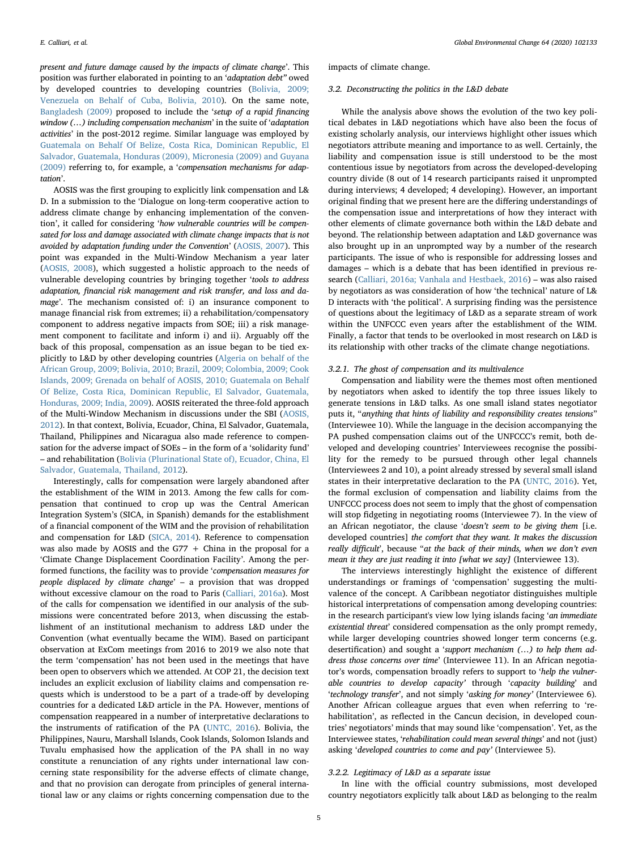present and future damage caused by the impacts of climate change'. This position was further elaborated in pointing to an 'adaptation debt" owed by developed countries to developing countries [\(Bolivia, 2009;](#page-7-14) [Venezuela on Behalf of Cuba, Bolivia, 2010\)](#page-7-14). On the same note, [Bangladesh \(2009\)](#page-7-15) proposed to include the 'setup of a rapid financing window (...) including compensation mechanism' in the suite of 'adaptation activities' in the post-2012 regime. Similar language was employed by [Guatemala on Behalf Of Belize, Costa Rica, Dominican Republic, El](#page-8-28) [Salvador, Guatemala, Honduras \(2009\), Micronesia \(2009\) and Guyana](#page-8-28) [\(2009\)](#page-8-28) referring to, for example, a 'compensation mechanisms for adaptation'.

AOSIS was the first grouping to explicitly link compensation and L& D. In a submission to the 'Dialogue on long-term cooperative action to address climate change by enhancing implementation of the convention', it called for considering 'how vulnerable countries will be compensated for loss and damage associated with climate change impacts that is not avoided by adaptation funding under the Convention' [\(AOSIS, 2007](#page-7-16)). This point was expanded in the Multi-Window Mechanism a year later ([AOSIS, 2008\)](#page-7-11), which suggested a holistic approach to the needs of vulnerable developing countries by bringing together 'tools to address adaptation, financial risk management and risk transfer, and loss and damage'. The mechanism consisted of: i) an insurance component to manage financial risk from extremes; ii) a rehabilitation/compensatory component to address negative impacts from SOE; iii) a risk management component to facilitate and inform i) and ii). Arguably off the back of this proposal, compensation as an issue began to be tied explicitly to L&D by other developing countries [\(Algeria on behalf of the](#page-7-10) [African Group, 2009; Bolivia, 2010; Brazil, 2009; Colombia, 2009; Cook](#page-7-10) [Islands, 2009; Grenada on behalf of AOSIS, 2010; Guatemala on Behalf](#page-7-10) [Of Belize, Costa Rica, Dominican Republic, El Salvador, Guatemala,](#page-7-10) [Honduras, 2009; India, 2009](#page-7-10)). AOSIS reiterated the three-fold approach of the Multi-Window Mechanism in discussions under the SBI [\(AOSIS,](#page-7-17) [2012\)](#page-7-17). In that context, Bolivia, Ecuador, China, El Salvador, Guatemala, Thailand, Philippines and Nicaragua also made reference to compensation for the adverse impact of SOEs – in the form of a 'solidarity fund' – and rehabilitation ([Bolivia \(Plurinational State of\), Ecuador, China, El](#page-7-12) [Salvador, Guatemala, Thailand, 2012](#page-7-12)).

Interestingly, calls for compensation were largely abandoned after the establishment of the WIM in 2013. Among the few calls for compensation that continued to crop up was the Central American Integration System's (SICA, in Spanish) demands for the establishment of a financial component of the WIM and the provision of rehabilitation and compensation for L&D ([SICA, 2014](#page-8-29)). Reference to compensation was also made by AOSIS and the G77  $+$  China in the proposal for a 'Climate Change Displacement Coordination Facility'. Among the performed functions, the facility was to provide 'compensation measures for people displaced by climate change' – a provision that was dropped without excessive clamour on the road to Paris ([Calliari, 2016a\)](#page-8-4). Most of the calls for compensation we identified in our analysis of the submissions were concentrated before 2013, when discussing the establishment of an institutional mechanism to address L&D under the Convention (what eventually became the WIM). Based on participant observation at ExCom meetings from 2016 to 2019 we also note that the term 'compensation' has not been used in the meetings that have been open to observers which we attended. At COP 21, the decision text includes an explicit exclusion of liability claims and compensation requests which is understood to be a part of a trade-off by developing countries for a dedicated L&D article in the PA. However, mentions of compensation reappeared in a number of interpretative declarations to the instruments of ratification of the PA [\(UNTC, 2016](#page-8-30)). Bolivia, the Philippines, Nauru, Marshall Islands, Cook Islands, Solomon Islands and Tuvalu emphasised how the application of the PA shall in no way constitute a renunciation of any rights under international law concerning state responsibility for the adverse effects of climate change, and that no provision can derogate from principles of general international law or any claims or rights concerning compensation due to the impacts of climate change.

# 3.2. Deconstructing the politics in the L&D debate

While the analysis above shows the evolution of the two key political debates in L&D negotiations which have also been the focus of existing scholarly analysis, our interviews highlight other issues which negotiators attribute meaning and importance to as well. Certainly, the liability and compensation issue is still understood to be the most contentious issue by negotiators from across the developed-developing country divide (8 out of 14 research participants raised it unprompted during interviews; 4 developed; 4 developing). However, an important original finding that we present here are the differing understandings of the compensation issue and interpretations of how they interact with other elements of climate governance both within the L&D debate and beyond. The relationship between adaptation and L&D governance was also brought up in an unprompted way by a number of the research participants. The issue of who is responsible for addressing losses and damages – which is a debate that has been identified in previous research [\(Calliari, 2016a; Vanhala and Hestbaek, 2016\)](#page-8-4) – was also raised by negotiators as was consideration of how 'the technical' nature of L& D interacts with 'the political'. A surprising finding was the persistence of questions about the legitimacy of L&D as a separate stream of work within the UNFCCC even years after the establishment of the WIM. Finally, a factor that tends to be overlooked in most research on L&D is its relationship with other tracks of the climate change negotiations.

### 3.2.1. The ghost of compensation and its multivalence

Compensation and liability were the themes most often mentioned by negotiators when asked to identify the top three issues likely to generate tensions in L&D talks. As one small island states negotiator puts it, "anything that hints of liability and responsibility creates tensions" (Interviewee 10). While the language in the decision accompanying the PA pushed compensation claims out of the UNFCCC's remit, both developed and developing countries' Interviewees recognise the possibility for the remedy to be pursued through other legal channels (Interviewees 2 and 10), a point already stressed by several small island states in their interpretative declaration to the PA ([UNTC, 2016\)](#page-8-30). Yet, the formal exclusion of compensation and liability claims from the UNFCCC process does not seem to imply that the ghost of compensation will stop fidgeting in negotiating rooms (Interviewee 7). In the view of an African negotiator, the clause 'doesn't seem to be giving them [i.e. developed countries] the comfort that they want. It makes the discussion really difficult', because "at the back of their minds, when we don't even mean it they are just reading it into [what we say] (Interviewee 13).

The interviews interestingly highlight the existence of different understandings or framings of 'compensation' suggesting the multivalence of the concept. A Caribbean negotiator distinguishes multiple historical interpretations of compensation among developing countries: in the research participant's view low lying islands facing 'an immediate existential threat' considered compensation as the only prompt remedy, while larger developing countries showed longer term concerns (e.g. desertification) and sought a 'support mechanism (…) to help them address those concerns over time' (Interviewee 11). In an African negotiator's words, compensation broadly refers to support to 'help the vulnerable countries to develop capacity' through 'capacity building' and 'technology transfer', and not simply 'asking for money' (Interviewee 6). Another African colleague argues that even when referring to 'rehabilitation', as reflected in the Cancun decision, in developed countries' negotiators' minds that may sound like 'compensation'. Yet, as the Interviewee states, 'rehabilitation could mean several things' and not (just) asking 'developed countries to come and pay' (Interviewee 5).

### 3.2.2. Legitimacy of L&D as a separate issue

In line with the official country submissions, most developed country negotiators explicitly talk about L&D as belonging to the realm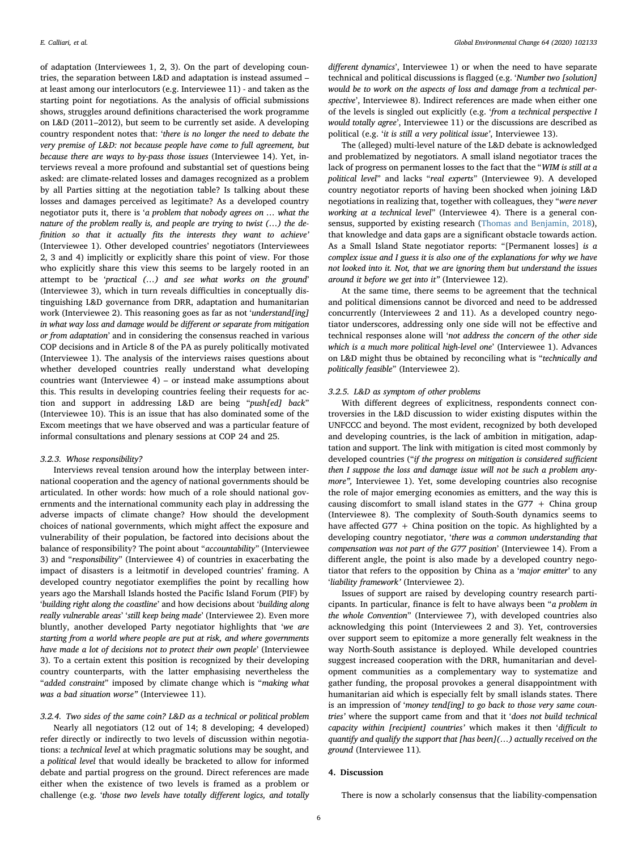of adaptation (Interviewees 1, 2, 3). On the part of developing countries, the separation between L&D and adaptation is instead assumed – at least among our interlocutors (e.g. Interviewee 11) - and taken as the starting point for negotiations. As the analysis of official submissions shows, struggles around definitions characterised the work programme on L&D (2011–2012), but seem to be currently set aside. A developing country respondent notes that: 'there is no longer the need to debate the very premise of L&D: not because people have come to full agreement, but because there are ways to by-pass those issues (Interviewee 14). Yet, interviews reveal a more profound and substantial set of questions being asked: are climate-related losses and damages recognized as a problem by all Parties sitting at the negotiation table? Is talking about these losses and damages perceived as legitimate? As a developed country negotiator puts it, there is 'a problem that nobody agrees on … what the nature of the problem really is, and people are trying to twist (…) the definition so that it actually fits the interests they want to achieve' (Interviewee 1). Other developed countries' negotiators (Interviewees 2, 3 and 4) implicitly or explicitly share this point of view. For those who explicitly share this view this seems to be largely rooted in an attempt to be 'practical (…) and see what works on the ground' (Interviewee 3), which in turn reveals difficulties in conceptually distinguishing L&D governance from DRR, adaptation and humanitarian work (Interviewee 2). This reasoning goes as far as not 'understand[ing] in what way loss and damage would be different or separate from mitigation or from adaptation' and in considering the consensus reached in various COP decisions and in Article 8 of the PA as purely politically motivated (Interviewee 1). The analysis of the interviews raises questions about whether developed countries really understand what developing countries want (Interviewee 4) – or instead make assumptions about this. This results in developing countries feeling their requests for action and support in addressing L&D are being "push[ed] back" (Interviewee 10). This is an issue that has also dominated some of the Excom meetings that we have observed and was a particular feature of informal consultations and plenary sessions at COP 24 and 25.

# 3.2.3. Whose responsibility?

Interviews reveal tension around how the interplay between international cooperation and the agency of national governments should be articulated. In other words: how much of a role should national governments and the international community each play in addressing the adverse impacts of climate change? How should the development choices of national governments, which might affect the exposure and vulnerability of their population, be factored into decisions about the balance of responsibility? The point about "accountability" (Interviewee 3) and "responsibility" (Interviewee 4) of countries in exacerbating the impact of disasters is a leitmotif in developed countries' framing. A developed country negotiator exemplifies the point by recalling how years ago the Marshall Islands hosted the Pacific Island Forum (PIF) by 'building right along the coastline' and how decisions about 'building along really vulnerable areas' 'still keep being made' (Interviewee 2). Even more bluntly, another developed Party negotiator highlights that 'we are starting from a world where people are put at risk, and where governments have made a lot of decisions not to protect their own people' (Interviewee 3). To a certain extent this position is recognized by their developing country counterparts, with the latter emphasising nevertheless the "added constraint" imposed by climate change which is "making what was a bad situation worse" (Interviewee 11).

# 3.2.4. Two sides of the same coin? L&D as a technical or political problem

Nearly all negotiators (12 out of 14; 8 developing; 4 developed) refer directly or indirectly to two levels of discussion within negotiations: a technical level at which pragmatic solutions may be sought, and a political level that would ideally be bracketed to allow for informed debate and partial progress on the ground. Direct references are made either when the existence of two levels is framed as a problem or challenge (e.g. 'those two levels have totally different logics, and totally

different dynamics', Interviewee 1) or when the need to have separate technical and political discussions is flagged (e.g. 'Number two [solution] would be to work on the aspects of loss and damage from a technical perspective', Interviewee 8). Indirect references are made when either one of the levels is singled out explicitly (e.g. 'from a technical perspective I would totally agree', Interviewee 11) or the discussions are described as political (e.g. 'it is still a very political issue', Interviewee 13).

The (alleged) multi-level nature of the L&D debate is acknowledged and problematized by negotiators. A small island negotiator traces the lack of progress on permanent losses to the fact that the "WIM is still at a political level" and lacks "real experts" (Interviewee 9). A developed country negotiator reports of having been shocked when joining L&D negotiations in realizing that, together with colleagues, they "were never working at a technical level" (Interviewee 4). There is a general consensus, supported by existing research ([Thomas and Benjamin, 2018](#page-8-31)), that knowledge and data gaps are a significant obstacle towards action. As a Small Island State negotiator reports: "[Permanent losses] is a complex issue and I guess it is also one of the explanations for why we have not looked into it. Not, that we are ignoring them but understand the issues around it before we get into it" (Interviewee 12).

At the same time, there seems to be agreement that the technical and political dimensions cannot be divorced and need to be addressed concurrently (Interviewees 2 and 11). As a developed country negotiator underscores, addressing only one side will not be effective and technical responses alone will 'not address the concern of the other side which is a much more political high-level one' (Interviewee 1). Advances on L&D might thus be obtained by reconciling what is "technically and politically feasible" (Interviewee 2).

# 3.2.5. L&D as symptom of other problems

With different degrees of explicitness, respondents connect controversies in the L&D discussion to wider existing disputes within the UNFCCC and beyond. The most evident, recognized by both developed and developing countries, is the lack of ambition in mitigation, adaptation and support. The link with mitigation is cited most commonly by developed countries ("if the progress on mitigation is considered sufficient then I suppose the loss and damage issue will not be such a problem anymore", Interviewee 1). Yet, some developing countries also recognise the role of major emerging economies as emitters, and the way this is causing discomfort to small island states in the  $G77 + China group$ (Interviewee 8). The complexity of South-South dynamics seems to have affected G77  $+$  China position on the topic. As highlighted by a developing country negotiator, 'there was a common understanding that compensation was not part of the G77 position' (Interviewee 14). From a different angle, the point is also made by a developed country negotiator that refers to the opposition by China as a 'major emitter' to any 'liability framework' (Interviewee 2).

Issues of support are raised by developing country research participants. In particular, finance is felt to have always been "a problem in the whole Convention" (Interviewee 7), with developed countries also acknowledging this point (Interviewees 2 and 3). Yet, controversies over support seem to epitomize a more generally felt weakness in the way North-South assistance is deployed. While developed countries suggest increased cooperation with the DRR, humanitarian and development communities as a complementary way to systematize and gather funding, the proposal provokes a general disappointment with humanitarian aid which is especially felt by small islands states. There is an impression of 'money tend[ing] to go back to those very same countries' where the support came from and that it 'does not build technical capacity within [recipient] countries' which makes it then 'difficult to quantify and qualify the support that [has been](…) actually received on the ground (Interviewee 11).

### 4. Discussion

There is now a scholarly consensus that the liability-compensation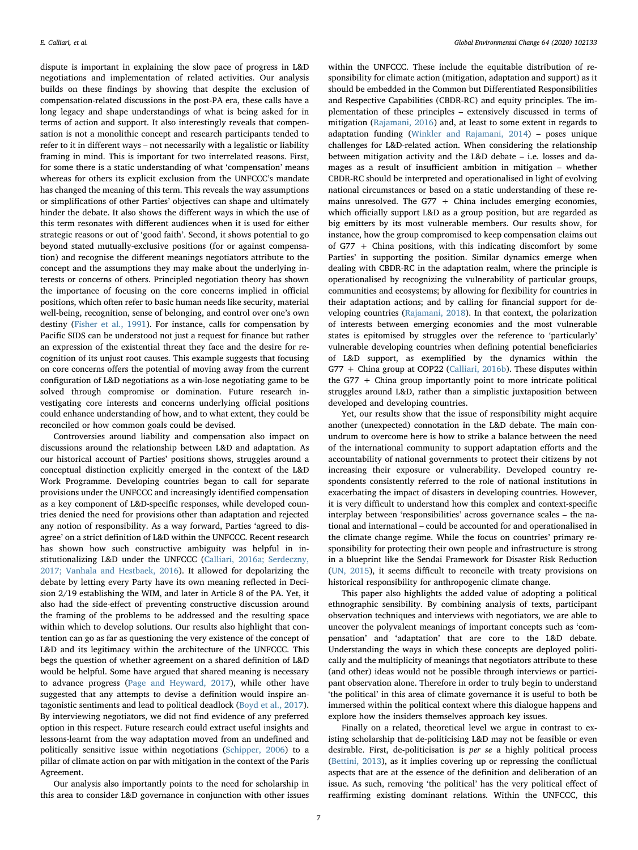dispute is important in explaining the slow pace of progress in L&D negotiations and implementation of related activities. Our analysis builds on these findings by showing that despite the exclusion of compensation-related discussions in the post-PA era, these calls have a long legacy and shape understandings of what is being asked for in terms of action and support. It also interestingly reveals that compensation is not a monolithic concept and research participants tended to refer to it in different ways – not necessarily with a legalistic or liability framing in mind. This is important for two interrelated reasons. First, for some there is a static understanding of what 'compensation' means whereas for others its explicit exclusion from the UNFCCC's mandate has changed the meaning of this term. This reveals the way assumptions or simplifications of other Parties' objectives can shape and ultimately hinder the debate. It also shows the different ways in which the use of this term resonates with different audiences when it is used for either strategic reasons or out of 'good faith'. Second, it shows potential to go beyond stated mutually-exclusive positions (for or against compensation) and recognise the different meanings negotiators attribute to the concept and the assumptions they may make about the underlying interests or concerns of others. Principled negotiation theory has shown the importance of focusing on the core concerns implied in official positions, which often refer to basic human needs like security, material well-being, recognition, sense of belonging, and control over one's own destiny [\(Fisher et al., 1991\)](#page-8-32). For instance, calls for compensation by Pacific SIDS can be understood not just a request for finance but rather an expression of the existential threat they face and the desire for recognition of its unjust root causes. This example suggests that focusing on core concerns offers the potential of moving away from the current configuration of L&D negotiations as a win-lose negotiating game to be solved through compromise or domination. Future research investigating core interests and concerns underlying official positions could enhance understanding of how, and to what extent, they could be reconciled or how common goals could be devised.

Controversies around liability and compensation also impact on discussions around the relationship between L&D and adaptation. As our historical account of Parties' positions shows, struggles around a conceptual distinction explicitly emerged in the context of the L&D Work Programme. Developing countries began to call for separate provisions under the UNFCCC and increasingly identified compensation as a key component of L&D-specific responses, while developed countries denied the need for provisions other than adaptation and rejected any notion of responsibility. As a way forward, Parties 'agreed to disagree' on a strict definition of L&D within the UNFCCC. Recent research has shown how such constructive ambiguity was helpful in institutionalizing L&D under the UNFCCC ([Calliari, 2016a; Serdeczny,](#page-8-4) [2017; Vanhala and Hestbaek, 2016\)](#page-8-4). It allowed for depolarizing the debate by letting every Party have its own meaning reflected in Decision 2/19 establishing the WIM, and later in Article 8 of the PA. Yet, it also had the side-effect of preventing constructive discussion around the framing of the problems to be addressed and the resulting space within which to develop solutions. Our results also highlight that contention can go as far as questioning the very existence of the concept of L&D and its legitimacy within the architecture of the UNFCCC. This begs the question of whether agreement on a shared definition of L&D would be helpful. Some have argued that shared meaning is necessary to advance progress ([Page and Heyward, 2017](#page-8-33)), while other have suggested that any attempts to devise a definition would inspire antagonistic sentiments and lead to political deadlock [\(Boyd et al., 2017](#page-7-1)). By interviewing negotiators, we did not find evidence of any preferred option in this respect. Future research could extract useful insights and lessons-learnt from the way adaptation moved from an undefined and politically sensitive issue within negotiations ([Schipper, 2006](#page-8-34)) to a pillar of climate action on par with mitigation in the context of the Paris Agreement.

Our analysis also importantly points to the need for scholarship in this area to consider L&D governance in conjunction with other issues within the UNFCCC. These include the equitable distribution of responsibility for climate action (mitigation, adaptation and support) as it should be embedded in the Common but Differentiated Responsibilities and Respective Capabilities (CBDR-RC) and equity principles. The implementation of these principles – extensively discussed in terms of mitigation ([Rajamani, 2016](#page-8-35)) and, at least to some extent in regards to adaptation funding [\(Winkler and Rajamani, 2014](#page-9-1)) – poses unique challenges for L&D-related action. When considering the relationship between mitigation activity and the L&D debate – i.e. losses and damages as a result of insufficient ambition in mitigation – whether CBDR-RC should be interpreted and operationalised in light of evolving national circumstances or based on a static understanding of these remains unresolved. The  $G77 +$  China includes emerging economies, which officially support L&D as a group position, but are regarded as big emitters by its most vulnerable members. Our results show, for instance, how the group compromised to keep compensation claims out of G77 + China positions, with this indicating discomfort by some Parties' in supporting the position. Similar dynamics emerge when dealing with CBDR-RC in the adaptation realm, where the principle is operationalised by recognizing the vulnerability of particular groups, communities and ecosystems; by allowing for flexibility for countries in their adaptation actions; and by calling for financial support for developing countries [\(Rajamani, 2018\)](#page-8-36). In that context, the polarization of interests between emerging economies and the most vulnerable states is epitomised by struggles over the reference to 'particularly' vulnerable developing countries when defining potential beneficiaries of L&D support, as exemplified by the dynamics within the G77 + China group at COP22 ([Calliari,](#page-8-37) 2016b). These disputes within the G77 + China group importantly point to more intricate political struggles around L&D, rather than a simplistic juxtaposition between developed and developing countries.

Yet, our results show that the issue of responsibility might acquire another (unexpected) connotation in the L&D debate. The main conundrum to overcome here is how to strike a balance between the need of the international community to support adaptation efforts and the accountability of national governments to protect their citizens by not increasing their exposure or vulnerability. Developed country respondents consistently referred to the role of national institutions in exacerbating the impact of disasters in developing countries. However, it is very difficult to understand how this complex and context-specific interplay between 'responsibilities' across governance scales – the national and international – could be accounted for and operationalised in the climate change regime. While the focus on countries' primary responsibility for protecting their own people and infrastructure is strong in a blueprint like the Sendai Framework for Disaster Risk Reduction ([UN, 2015\)](#page-8-38), it seems difficult to reconcile with treaty provisions on historical responsibility for anthropogenic climate change.

This paper also highlights the added value of adopting a political ethnographic sensibility. By combining analysis of texts, participant observation techniques and interviews with negotiators, we are able to uncover the polyvalent meanings of important concepts such as 'compensation' and 'adaptation' that are core to the L&D debate. Understanding the ways in which these concepts are deployed politically and the multiplicity of meanings that negotiators attribute to these (and other) ideas would not be possible through interviews or participant observation alone. Therefore in order to truly begin to understand 'the political' in this area of climate governance it is useful to both be immersed within the political context where this dialogue happens and explore how the insiders themselves approach key issues.

Finally on a related, theoretical level we argue in contrast to existing scholarship that de-politicising L&D may not be feasible or even desirable. First, de-politicisation is per se a highly political process ([Bettini, 2013](#page-7-18)), as it implies covering up or repressing the conflictual aspects that are at the essence of the definition and deliberation of an issue. As such, removing 'the political' has the very political effect of reaffirming existing dominant relations. Within the UNFCCC, this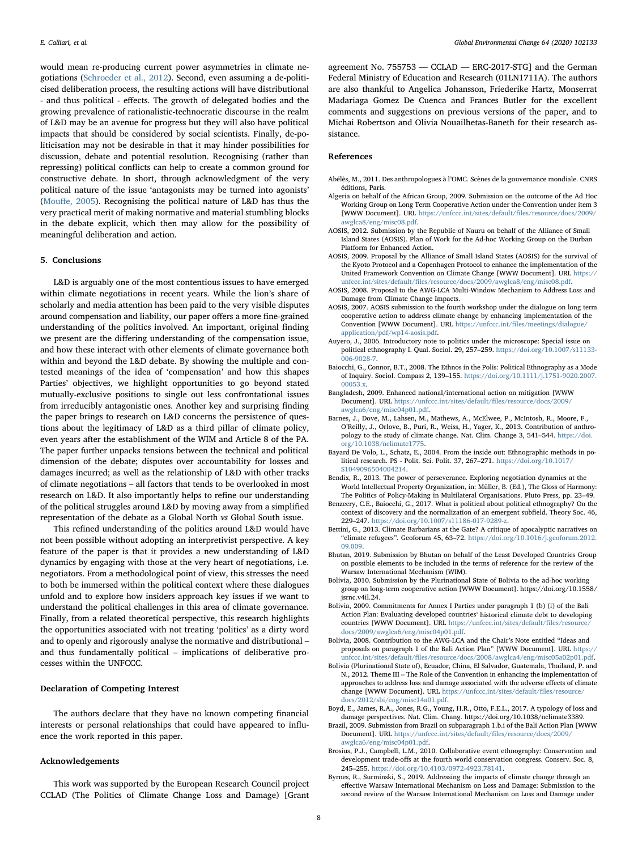would mean re-producing current power asymmetries in climate negotiations [\(Schroeder et al., 2012\)](#page-8-39). Second, even assuming a de-politicised deliberation process, the resulting actions will have distributional - and thus political - effects. The growth of delegated bodies and the growing prevalence of rationalistic-technocratic discourse in the realm of L&D may be an avenue for progress but they will also have political impacts that should be considered by social scientists. Finally, de-politicisation may not be desirable in that it may hinder possibilities for discussion, debate and potential resolution. Recognising (rather than repressing) political conflicts can help to create a common ground for constructive debate. In short, through acknowledgment of the very political nature of the issue 'antagonists may be turned into agonists' (Mouff[e, 2005\)](#page-8-12). Recognising the political nature of L&D has thus the very practical merit of making normative and material stumbling blocks in the debate explicit, which then may allow for the possibility of meaningful deliberation and action.

# 5. Conclusions

L&D is arguably one of the most contentious issues to have emerged within climate negotiations in recent years. While the lion's share of scholarly and media attention has been paid to the very visible disputes around compensation and liability, our paper offers a more fine-grained understanding of the politics involved. An important, original finding we present are the differing understanding of the compensation issue, and how these interact with other elements of climate governance both within and beyond the L&D debate. By showing the multiple and contested meanings of the idea of 'compensation' and how this shapes Parties' objectives, we highlight opportunities to go beyond stated mutually-exclusive positions to single out less confrontational issues from irreducibly antagonistic ones. Another key and surprising finding the paper brings to research on L&D concerns the persistence of questions about the legitimacy of L&D as a third pillar of climate policy, even years after the establishment of the WIM and Article 8 of the PA. The paper further unpacks tensions between the technical and political dimension of the debate; disputes over accountability for losses and damages incurred; as well as the relationship of L&D with other tracks of climate negotiations – all factors that tends to be overlooked in most research on L&D. It also importantly helps to refine our understanding of the political struggles around L&D by moving away from a simplified representation of the debate as a Global North vs Global South issue.

This refined understanding of the politics around L&D would have not been possible without adopting an interpretivist perspective. A key feature of the paper is that it provides a new understanding of L&D dynamics by engaging with those at the very heart of negotiations, i.e. negotiators. From a methodological point of view, this stresses the need to both be immersed within the political context where these dialogues unfold and to explore how insiders approach key issues if we want to understand the political challenges in this area of climate governance. Finally, from a related theoretical perspective, this research highlights the opportunities associated with not treating 'politics' as a dirty word and to openly and rigorously analyse the normative and distributional – and thus fundamentally political – implications of deliberative processes within the UNFCCC.

# Declaration of Competing Interest

The authors declare that they have no known competing financial interests or personal relationships that could have appeared to influence the work reported in this paper.

### Acknowledgements

This work was supported by the European Research Council project CCLAD (The Politics of Climate Change Loss and Damage) [Grant

agreement No. 755753 — CCLAD — ERC-2017-STG] and the German Federal Ministry of Education and Research (01LN1711A). The authors are also thankful to Angelica Johansson, Friederike Hartz, Monserrat Madariaga Gomez De Cuenca and Frances Butler for the excellent comments and suggestions on previous versions of the paper, and to Michai Robertson and Olivia Nouailhetas-Baneth for their research assistance.

# References

- <span id="page-7-4"></span>Abélès, M., 2011. Des anthropologues à l'OMC. Scènes de la gouvernance mondiale. CNRS éditions, Paris.
- <span id="page-7-10"></span>Algeria on behalf of the African Group, 2009. Submission on the outcome of the Ad Hoc Working Group on Long Term Cooperative Action under the Convention under item 3 [WWW Document]. URL [https://unfccc.int/sites/default/](https://unfccc.int/sites/default/files/resource/docs/2009/awglca8/eng/misc08.pdf)files/resource/docs/2009/ [awglca8/eng/misc08.pdf](https://unfccc.int/sites/default/files/resource/docs/2009/awglca8/eng/misc08.pdf).
- <span id="page-7-17"></span>AOSIS, 2012. Submission by the Republic of Nauru on behalf of the Alliance of Small Island States (AOSIS). Plan of Work for the Ad-hoc Working Group on the Durban Platform for Enhanced Action.
- <span id="page-7-9"></span>AOSIS, 2009. Proposal by the Alliance of Small Island States (AOSIS) for the survival of the Kyoto Protocol and a Copenhagen Protocol to enhance the implementation of the United Framework Convention on Climate Change [WWW Document]. URL [https://](https://unfccc.int/sites/default/files/resource/docs/2009/awglca8/eng/misc08.pdf) unfccc.int/sites/default/fi[les/resource/docs/2009/awglca8/eng/misc08.pdf](https://unfccc.int/sites/default/files/resource/docs/2009/awglca8/eng/misc08.pdf).
- <span id="page-7-11"></span>AOSIS, 2008. Proposal to the AWG-LCA Multi-Window Mechanism to Address Loss and Damage from Climate Change Impacts.
- <span id="page-7-16"></span>AOSIS, 2007. AOSIS submission to the fourth workshop under the dialogue on long term cooperative action to address climate change by enhancing implementation of the Convention [WWW Document]. URL https://unfccc.int/fi[les/meetings/dialogue/](https://unfccc.int/files/meetings/dialogue/application/pdf/wp14-aosis.pdf) [application/pdf/wp14-aosis.pdf](https://unfccc.int/files/meetings/dialogue/application/pdf/wp14-aosis.pdf).
- <span id="page-7-7"></span>Auyero, J., 2006. Introductory note to politics under the microscope: Special issue on political ethnography I. Qual. Sociol. 29, 257–259. [https://doi.org/10.1007/s11133-](https://doi.org/10.1007/s11133-006-9028-7) [006-9028-7](https://doi.org/10.1007/s11133-006-9028-7).
- Baiocchi, G., Connor, B.T., 2008. The Ethnos in the Polis: Political Ethnography as a Mode of Inquiry. Sociol. Compass 2, 139–155. [https://doi.org/10.1111/j.1751-9020.2007.](https://doi.org/10.1111/j.1751-9020.2007.00053.x) 00053 x
- <span id="page-7-15"></span>Bangladesh, 2009. Enhanced national/international action on mitigation [WWW Document]. URL [https://unfccc.int/sites/default/](https://unfccc.int/sites/default/files/resource/docs/2009/awglca6/eng/misc04p01.pdf)files/resource/docs/2009/ [awglca6/eng/misc04p01.pdf.](https://unfccc.int/sites/default/files/resource/docs/2009/awglca6/eng/misc04p01.pdf)
- <span id="page-7-5"></span>Barnes, J., Dove, M., Lahsen, M., Mathews, A., McElwee, P., McIntosh, R., Moore, F., O'Reilly, J., Orlove, B., Puri, R., Weiss, H., Yager, K., 2013. Contribution of anthropology to the study of climate change. Nat. Clim. Change 3, 541–544. [https://doi.](https://doi.org/10.1038/nclimate1775) [org/10.1038/nclimate1775](https://doi.org/10.1038/nclimate1775).
- <span id="page-7-3"></span>Bayard De Volo, L., Schatz, E., 2004. From the inside out: Ethnographic methods in political research. PS - Polit. Sci. Polit. 37, 267–271. [https://doi.org/10.1017/](https://doi.org/10.1017/S1049096504004214) [S1049096504004214](https://doi.org/10.1017/S1049096504004214).
- <span id="page-7-8"></span>Bendix, R., 2013. The power of perseverance. Exploring negotiation dynamics at the World Intellectual Property Organization, in: Müller, B. (Ed.), The Gloss of Harmony:
- The Politics of Policy-Making in Multilateral Organisations. Pluto Press, pp. 23–49. Benzecry, C.E., Baiocchi, G., 2017. What is political about political ethnography? On the context of discovery and the normalization of an emergent subfield. Theory Soc. 46, 229–247. [https://doi.org/10.1007/s11186-017-9289-z.](https://doi.org/10.1007/s11186-017-9289-z)
- <span id="page-7-18"></span>Bettini, G., 2013. Climate Barbarians at the Gate? A critique of apocalyptic narratives on "climate refugees". Geoforum 45, 63–72. [https://doi.org/10.1016/j.geoforum.2012.](https://doi.org/10.1016/j.geoforum.2012.09.009) [09.009](https://doi.org/10.1016/j.geoforum.2012.09.009).
- <span id="page-7-0"></span>Bhutan, 2019. Submission by Bhutan on behalf of the Least Developed Countries Group on possible elements to be included in the terms of reference for the review of the Warsaw International Mechanism (WIM).
- Bolivia, 2010. Submission by the Plurinational State of Bolivia to the ad-hoc working group on long-term cooperative action [WWW Document]. https://doi.org/10.1558/ jsrnc.v4il.24.
- <span id="page-7-14"></span>Bolivia, 2009. Commitments for Annex I Parties under paragraph 1 (b) (i) of the Bali Action Plan: Evaluating developed countries' historical climate debt to developing countries [WWW Document]. URL [https://unfccc.int/sites/default/](https://unfccc.int/sites/default/files/resource/docs/2009/awglca6/eng/misc04p01.pdf)files/resource [docs/2009/awglca6/eng/misc04p01.pdf](https://unfccc.int/sites/default/files/resource/docs/2009/awglca6/eng/misc04p01.pdf).
- <span id="page-7-13"></span>Bolivia, 2008. Contribution to the AWG-LCA and the Chair's Note entitled "Ideas and proposals on paragraph 1 of the Bali Action Plan" [WWW Document]. URL [https://](https://unfccc.int/sites/default/files/resource/docs/2008/awglca4/eng/misc05a02p01.pdf) unfccc.int/sites/default/fi[les/resource/docs/2008/awglca4/eng/misc05a02p01.pdf](https://unfccc.int/sites/default/files/resource/docs/2008/awglca4/eng/misc05a02p01.pdf).
- <span id="page-7-12"></span>Bolivia (Plurinational State of), Ecuador, China, El Salvador, Guatemala, Thailand, P. and N., 2012. Theme III – The Role of the Convention in enhancing the implementation of approaches to address loss and damage associated with the adverse effects of climate change [WWW Document]. URL [https://unfccc.int/sites/default/](https://unfccc.int/sites/default/files/resource/docs/2012/sbi/eng/misc14a01.pdf)files/resource/ [docs/2012/sbi/eng/misc14a01.pdf.](https://unfccc.int/sites/default/files/resource/docs/2012/sbi/eng/misc14a01.pdf)
- <span id="page-7-1"></span>Boyd, E., James, R.A., Jones, R.G., Young, H.R., Otto, F.E.L., 2017. A typology of loss and damage perspectives. Nat. Clim. Chang. https://doi.org/10.1038/nclimate3389.
- Brazil, 2009. Submission from Brazil on subparagraph 1.b.i of the Bali Action Plan [WWW Document]. URL [https://unfccc.int/sites/default/](https://unfccc.int/sites/default/files/resource/docs/2009/awglca6/eng/misc04p01.pdf)files/resource/docs/2009/ [awglca6/eng/misc04p01.pdf.](https://unfccc.int/sites/default/files/resource/docs/2009/awglca6/eng/misc04p01.pdf)
- <span id="page-7-6"></span>Brosius, P.J., Campbell, L.M., 2010. Collaborative event ethnography: Conservation and development trade-offs at the fourth world conservation congress. Conserv. Soc. 8, 245–255. <https://doi.org/10.4103/0972-4923.78141>.
- <span id="page-7-2"></span>Byrnes, R., Surminski, S., 2019. Addressing the impacts of climate change through an effective Warsaw International Mechanism on Loss and Damage: Submission to the second review of the Warsaw International Mechanism on Loss and Damage under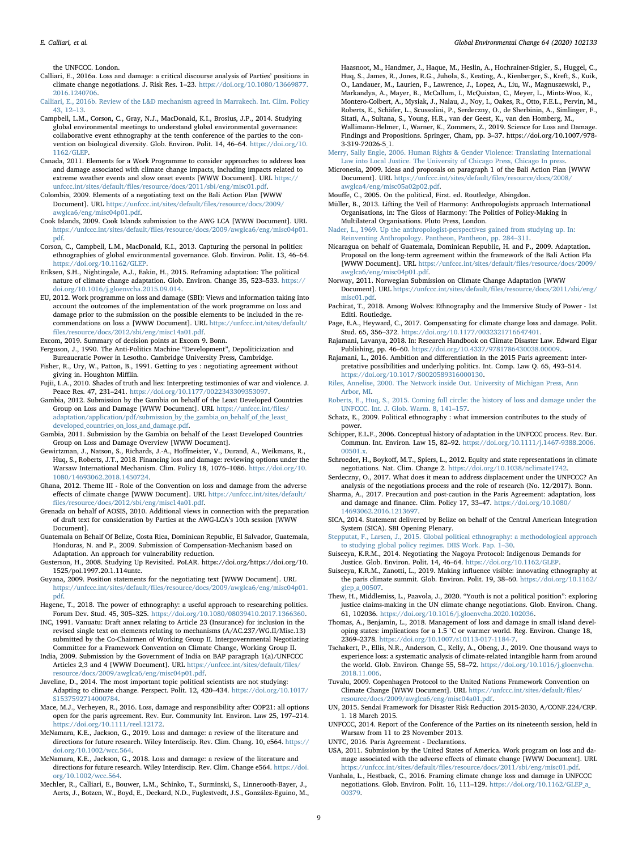the UNFCCC. London.

- <span id="page-8-4"></span>Calliari, E., 2016a. Loss and damage: a critical discourse analysis of Parties' positions in climate change negotiations. J. Risk Res. 1–23. [https://doi.org/10.1080/13669877.](https://doi.org/10.1080/13669877.2016.1240706) [2016.1240706.](https://doi.org/10.1080/13669877.2016.1240706)
- <span id="page-8-37"></span>[Calliari, E., 2016b. Review of the L&D mechanism agreed in Marrakech. Int. Clim. Policy](http://refhub.elsevier.com/S0959-3780(20)30716-0/h0125) [43, 12](http://refhub.elsevier.com/S0959-3780(20)30716-0/h0125)–13.
- <span id="page-8-18"></span>Campbell, L.M., Corson, C., Gray, N.J., MacDonald, K.I., Brosius, J.P., 2014. Studying global environmental meetings to understand global environmental governance: collaborative event ethnography at the tenth conference of the parties to the convention on biological diversity. Glob. Environ. Polit. 14, 46–64. [https://doi.org/10.](https://doi.org/10.1162/GLEP) [1162/GLEP](https://doi.org/10.1162/GLEP).
- <span id="page-8-26"></span>Canada, 2011. Elements for a Work Programme to consider approaches to address loss and damage associated with climate change impacts, including impacts related to extreme weather events and slow onset events [WWW Document]. URL [https://](https://unfccc.int/sites/default/files/resource/docs/2011/sbi/eng/misc01.pdf) unfccc.int/sites/default/fi[les/resource/docs/2011/sbi/eng/misc01.pdf.](https://unfccc.int/sites/default/files/resource/docs/2011/sbi/eng/misc01.pdf)

Colombia, 2009. Elements of a negotiating text on the Bali Action Plan [WWW Document]. URL [https://unfccc.int/sites/default/](https://unfccc.int/sites/default/files/resource/docs/2009/awglca6/eng/misc04p01.pdf)files/resource/docs/2009/ [awglca6/eng/misc04p01.pdf](https://unfccc.int/sites/default/files/resource/docs/2009/awglca6/eng/misc04p01.pdf).

- Cook Islands, 2009. Cook Islands submission to the AWG LCA [WWW Document]. URL https://unfccc.int/sites/default/fi[les/resource/docs/2009/awglca6/eng/misc04p01.](https://unfccc.int/sites/default/files/resource/docs/2009/awglca6/eng/misc04p01.pdf) [pdf.](https://unfccc.int/sites/default/files/resource/docs/2009/awglca6/eng/misc04p01.pdf)
- Corson, C., Campbell, L.M., MacDonald, K.I., 2013. Capturing the personal in politics: ethnographies of global environmental governance. Glob. Environ. Polit. 13, 46–64. [https://doi.org/10.1162/GLEP.](https://doi.org/10.1162/GLEP)
- Eriksen, S.H., Nightingale, A.J., Eakin, H., 2015. Reframing adaptation: The political nature of climate change adaptation. Glob. Environ. Change 35, 523–533. [https://](https://doi.org/10.1016/j.gloenvcha.2015.09.014) [doi.org/10.1016/j.gloenvcha.2015.09.014](https://doi.org/10.1016/j.gloenvcha.2015.09.014).
- EU, 2012. Work programme on loss and damage (SBI): Views and information taking into account the outcomes of the implementation of the work programme on loss and damage prior to the submission on the possible elements to be included in the recommendations on loss a [WWW Document]. URL [https://unfccc.int/sites/default/](https://unfccc.int/sites/default/files/resource/docs/2012/sbi/eng/misc14a01.pdf) fi[les/resource/docs/2012/sbi/eng/misc14a01.pdf](https://unfccc.int/sites/default/files/resource/docs/2012/sbi/eng/misc14a01.pdf).

<span id="page-8-6"></span>Excom, 2019. Summary of decision points at Excom 9. Bonn.

- <span id="page-8-13"></span>Ferguson, J., 1990. The Anti-Politics Machine "Development", Depoliticization and Bureaucratic Power in Lesotho. Cambridge University Press, Cambridge.
- <span id="page-8-32"></span>Fisher, R., Ury, W., Patton, B., 1991. Getting to yes : negotiating agreement without giving in. Houghton Mifflin.
- Fujii, L.A., 2010. Shades of truth and lies: Interpreting testimonies of war and violence. J. Peace Res. 47, 231–241. [https://doi.org/10.1177/0022343309353097.](https://doi.org/10.1177/0022343309353097)
- Gambia, 2012. Submission by the Gambia on behalf of the Least Developed Countries Group on Loss and Damage [WWW Document]. URL [https://unfccc.int/](https://unfccc.int/files/adaptation/application/pdf/submission_by_the_gambia_on_behalf_of_the_least_developed_countries_on_loss_and_damage.pdf)files/ [adaptation/application/pdf/submission\\_by\\_the\\_gambia\\_on\\_behalf\\_of\\_the\\_least\\_](https://unfccc.int/files/adaptation/application/pdf/submission_by_the_gambia_on_behalf_of_the_least_developed_countries_on_loss_and_damage.pdf) [developed\\_countries\\_on\\_loss\\_and\\_damage.pdf](https://unfccc.int/files/adaptation/application/pdf/submission_by_the_gambia_on_behalf_of_the_least_developed_countries_on_loss_and_damage.pdf).
- Gambia, 2011. Submission by the Gambia on behalf of the Least Developed Countries Group on Loss and Damage Overview [WWW Document].
- <span id="page-8-9"></span>Gewirtzman, J., Natson, S., Richards, J.-A., Hoffmeister, V., Durand, A., Weikmans, R., Huq, S., Roberts, J.T., 2018. Financing loss and damage: reviewing options under the Warsaw International Mechanism. Clim. Policy 18, 1076–1086. [https://doi.org/10.](https://doi.org/10.1080/14693062.2018.1450724) [1080/14693062.2018.1450724.](https://doi.org/10.1080/14693062.2018.1450724)
- Ghana, 2012. Theme III Role of the Convention on loss and damage from the adverse effects of climate change [WWW Document]. URL [https://unfccc.int/sites/default/](https://unfccc.int/sites/default/files/resource/docs/2012/sbi/eng/misc14a01.pdf)<br>fi[les/resource/docs/2012/sbi/eng/misc14a01.pdf](https://unfccc.int/sites/default/files/resource/docs/2012/sbi/eng/misc14a01.pdf).
- Grenada on behalf of AOSIS, 2010. Additional views in connection with the preparation of draft text for consideration by Parties at the AWG-LCA's 10th session [WWW Document].
- <span id="page-8-28"></span>Guatemala on Behalf Of Belize, Costa Rica, Dominican Republic, El Salvador, Guatemala, Honduras, N. and P., 2009. Submission of Compensation-Mechanism based on Adaptation. An approach for vulnerability reduction.
- <span id="page-8-23"></span>Gusterson, H., 2008. Studying Up Revisited. PoLAR. https://doi.org/https://doi.org/10. 1525/pol.1997.20.1.114untc.
- Guyana, 2009. Position statements for the negotiating text [WWW Document]. URL https://unfccc.int/sites/default/fi[les/resource/docs/2009/awglca6/eng/misc04p01.](https://unfccc.int/sites/default/files/resource/docs/2009/awglca6/eng/misc04p01.pdf) [pdf.](https://unfccc.int/sites/default/files/resource/docs/2009/awglca6/eng/misc04p01.pdf)
- Hagene, T., 2018. The power of ethnography: a useful approach to researching politics. Forum Dev. Stud. 45, 305–325. [https://doi.org/10.1080/08039410.2017.1366360.](https://doi.org/10.1080/08039410.2017.1366360)
- <span id="page-8-0"></span>INC, 1991. Vanuatu: Draft annex relating to Article 23 (Insurance) for inclusion in the revised single text on elements relating to mechanisms (A/AC.237/WG.II/Misc.13) submitted by the Co-Chairmen of Working Group II. Intergovernmental Negotiating Committee for a Framework Convention on Climate Change, Working Group II.
- India, 2009. Submission by the Government of India on BAP paragraph 1(a)/UNFCCC Articles 2,3 and 4 [WWW Document]. URL [https://unfccc.int/sites/default/](https://unfccc.int/sites/default/files/resource/docs/2009/awglca6/eng/misc04p01.pdf)files/ [resource/docs/2009/awglca6/eng/misc04p01.pdf](https://unfccc.int/sites/default/files/resource/docs/2009/awglca6/eng/misc04p01.pdf).
- <span id="page-8-17"></span>Javeline, D., 2014. The most important topic political scientists are not studying: Adapting to climate change. Perspect. Polit. 12, 420–434. [https://doi.org/10.1017/](https://doi.org/10.1017/S1537592714000784) [S1537592714000784](https://doi.org/10.1017/S1537592714000784).
- <span id="page-8-8"></span>Mace, M.J., Verheyen, R., 2016. Loss, damage and responsibility after COP21: all options open for the paris agreement. Rev. Eur. Community Int. Environ. Law 25, 197–214. [https://doi.org/10.1111/reel.12172.](https://doi.org/10.1111/reel.12172)
- <span id="page-8-2"></span>McNamara, K.E., Jackson, G., 2019. Loss and damage: a review of the literature and directions for future research. Wiley Interdiscip. Rev. Clim. Chang. 10, e564. [https://](https://doi.org/10.1002/wcc.564) [doi.org/10.1002/wcc.564.](https://doi.org/10.1002/wcc.564)
- <span id="page-8-11"></span>McNamara, K.E., Jackson, G., 2018. Loss and damage: a review of the literature and directions for future research. Wiley Interdiscip. Rev. Clim. Change e564. [https://doi.](https://doi.org/10.1002/wcc.564) [org/10.1002/wcc.564.](https://doi.org/10.1002/wcc.564)
- <span id="page-8-10"></span>Mechler, R., Calliari, E., Bouwer, L.M., Schinko, T., Surminski, S., Linnerooth-Bayer, J., Aerts, J., Botzen, W., Boyd, E., Deckard, N.D., Fuglestvedt, J.S., González-Eguino, M.,

Haasnoot, M., Handmer, J., Haque, M., Heslin, A., Hochrainer-Stigler, S., Huggel, C., Huq, S., James, R., Jones, R.G., Juhola, S., Keating, A., Kienberger, S., Kreft, S., Kuik, O., Landauer, M., Laurien, F., Lawrence, J., Lopez, A., Liu, W., Magnuszewski, P., Markandya, A., Mayer, B., McCallum, I., McQuistan, C., Meyer, L., Mintz-Woo, K., Montero-Colbert, A., Mysiak, J., Nalau, J., Noy, I., Oakes, R., Otto, F.E.L., Pervin, M., Roberts, E., Schäfer, L., Scussolini, P., Serdeczny, O., de Sherbinin, A., Simlinger, F.,

- Sitati, A., Sultana, S., Young, H.R., van der Geest, K., van den Homberg, M., Wallimann-Helmer, I., Warner, K., Zommers, Z., 2019. Science for Loss and Damage.
- Findings and Propositions. Springer, Cham, pp. 3–37. https://doi.org/10.1007/978- 3-319-72026-5\_1.
- <span id="page-8-14"></span>[Merry, Sally Engle, 2006. Human Rights & Gender Violence: Translating International](http://refhub.elsevier.com/S0959-3780(20)30716-0/optnDI9NsX0IE) [Law into Local Justice. The University of Chicago Press, Chicago In press.](http://refhub.elsevier.com/S0959-3780(20)30716-0/optnDI9NsX0IE)
- Micronesia, 2009. Ideas and proposals on paragraph 1 of the Bali Action Plan [WWW Document]. URL [https://unfccc.int/sites/default/](https://unfccc.int/sites/default/files/resource/docs/2008/awglca4/eng/misc05a02p02.pdf)files/resource/docs/2008/ [awglca4/eng/misc05a02p02.pdf](https://unfccc.int/sites/default/files/resource/docs/2008/awglca4/eng/misc05a02p02.pdf).
- <span id="page-8-12"></span>Mouffe, C., 2005. On the political, First. ed. Routledge, Abingdon.
- <span id="page-8-16"></span>Müller, B., 2013. Lifting the Veil of Harmony: Anthropologists approach International Organisations, in: The Gloss of Harmony: The Politics of Policy-Making in Multilateral Organisations. Pluto Press, London.
- <span id="page-8-21"></span>[Nader, L., 1969. Up the anthropologist-perspectives gained from studying up. In:](http://refhub.elsevier.com/S0959-3780(20)30716-0/h0280) [Reinventing Anthropology. Pantheon, Pantheon, pp. 284](http://refhub.elsevier.com/S0959-3780(20)30716-0/h0280)–311.
- Nicaragua on behalf of Guatemala, Dominican Republic, H. and P., 2009. Adaptation. Proposal on the long-term agreement within the framework of the Bali Action Pla [WWW Document]. URL [https://unfccc.int/sites/default/](https://unfccc.int/sites/default/files/resource/docs/2009/awglca6/eng/misc04p01.pdf)files/resource/docs/2009/ [awglca6/eng/misc04p01.pdf.](https://unfccc.int/sites/default/files/resource/docs/2009/awglca6/eng/misc04p01.pdf)
- Norway, 2011. Norwegian Submission on Climate Change Adaptation [WWW Document]. URL https://unfccc.int/sites/default/fi[les/resource/docs/2011/sbi/eng/](https://unfccc.int/sites/default/files/resource/docs/2011/sbi/eng/misc01.pdf) [misc01.pdf.](https://unfccc.int/sites/default/files/resource/docs/2011/sbi/eng/misc01.pdf)
- <span id="page-8-24"></span>Pachirat, T., 2018. Among Wolves: Ethnography and the Immersive Study of Power - 1st Editi. Routledge.
- <span id="page-8-33"></span>Page, E.A., Heyward, C., 2017. Compensating for climate change loss and damage. Polit. Stud. 65, 356–372. <https://doi.org/10.1177/0032321716647401>.
- <span id="page-8-36"></span>Rajamani, Lavanya, 2018. In: Research Handbook on Climate Disaster Law. Edward Elgar Publishing, pp. 46–60. [https://doi.org/10.4337/9781786430038.00009.](https://doi.org/10.4337/9781786430038.00009)
- <span id="page-8-35"></span>Rajamani, L., 2016. Ambition and differentiation in the 2015 Paris agreement: interpretative possibilities and underlying politics. Int. Comp. Law Q. 65, 493–514. <https://doi.org/10.1017/S0020589316000130>.
- <span id="page-8-15"></span>[Riles, Annelise, 2000. The Network inside Out. University of Michigan Press, Ann](http://refhub.elsevier.com/S0959-3780(20)30716-0/optCPMyBlskGR) [Arbor, MI](http://refhub.elsevier.com/S0959-3780(20)30716-0/optCPMyBlskGR).
- <span id="page-8-3"></span>[Roberts, E., Huq, S., 2015. Coming full circle: the history of loss and damage under the](http://refhub.elsevier.com/S0959-3780(20)30716-0/h0315) [UNFCCC. Int. J. Glob. Warm. 8, 141](http://refhub.elsevier.com/S0959-3780(20)30716-0/h0315)–157.
- <span id="page-8-20"></span>Schatz, E., 2009. Political ethnography : what immersion contributes to the study of power.
- <span id="page-8-34"></span>Schipper, E.L.F., 2006. Conceptual history of adaptation in the UNFCCC process. Rev. Eur. Commun. Int. Environ. Law 15, 82–92. [https://doi.org/10.1111/j.1467-9388.2006.](https://doi.org/10.1111/j.1467-9388.2006.00501.x) 00501 x
- <span id="page-8-39"></span>Schroeder, H., Boykoff, M.T., Spiers, L., 2012. Equity and state representations in climate negotiations. Nat. Clim. Change 2. <https://doi.org/10.1038/nclimate1742>.
- Serdeczny, O., 2017. What does it mean to address displacement under the UNFCCC? An analysis of the negotiations process and the role of research (No. 12/2017). Bonn.
- <span id="page-8-7"></span>Sharma, A., 2017. Precaution and post-caution in the Paris Agreement: adaptation, loss and damage and finance. Clim. Policy 17, 33–47. [https://doi.org/10.1080/](https://doi.org/10.1080/14693062.2016.1213697) [14693062.2016.1213697](https://doi.org/10.1080/14693062.2016.1213697).
- <span id="page-8-29"></span>SICA, 2014. Statement delivered by Belize on behalf of the Central American Integration System (SICA). SBI Opening Plenary.
- <span id="page-8-22"></span>[Stepputat, F., Larsen, J., 2015. Global political ethnography: a methodological approach](http://refhub.elsevier.com/S0959-3780(20)30716-0/h0345) [to studying global policy regimes. DIIS Work. Pap. 1](http://refhub.elsevier.com/S0959-3780(20)30716-0/h0345)–30.
- Suiseeya, K.R.M., 2014. Negotiating the Nagoya Protocol: Indigenous Demands for Justice. Glob. Environ. Polit. 14, 46–64. [https://doi.org/10.1162/GLEP.](https://doi.org/10.1162/GLEP)
- Suiseeya, K.R.M., Zanotti, L., 2019. Making influence visible: innovating ethnography at the paris climate summit. Glob. Environ. Polit. 19, 38–60. [https://doi.org/10.1162/](https://doi.org/10.1162/glep_a_00507) [glep\\_a\\_00507.](https://doi.org/10.1162/glep_a_00507)
- <span id="page-8-19"></span>Thew, H., Middlemiss, L., Paavola, J., 2020. "Youth is not a political position": exploring justice claims-making in the UN climate change negotiations. Glob. Environ. Chang. 61, 102036. [https://doi.org/10.1016/j.gloenvcha.2020.102036.](https://doi.org/10.1016/j.gloenvcha.2020.102036)
- <span id="page-8-31"></span>Thomas, A., Benjamin, L., 2018. Management of loss and damage in small island developing states: implications for a 1.5 °C or warmer world. Reg. Environ. Change 18, 2369–2378. <https://doi.org/10.1007/s10113-017-1184-7>.
- <span id="page-8-1"></span>Tschakert, P., Ellis, N.R., Anderson, C., Kelly, A., Obeng, J., 2019. One thousand ways to experience loss: a systematic analysis of climate-related intangible harm from around the world. Glob. Environ. Change 55, 58–72. [https://doi.org/10.1016/j.gloenvcha.](https://doi.org/10.1016/j.gloenvcha.2018.11.006) [2018.11.006](https://doi.org/10.1016/j.gloenvcha.2018.11.006).
- <span id="page-8-25"></span>Tuvalu, 2009. Copenhagen Protocol to the United Nations Framework Convention on Climate Change [WWW Document]. URL [https://unfccc.int/sites/default/](https://unfccc.int/sites/default/files/resource/docs/2009/awglca6/eng/misc04a01.pdf)files/ [resource/docs/2009/awglca6/eng/misc04a01.pdf.](https://unfccc.int/sites/default/files/resource/docs/2009/awglca6/eng/misc04a01.pdf)
- <span id="page-8-38"></span>UN, 2015. Sendai Framework for Disaster Risk Reduction 2015-2030, A/CONF.224/CRP. 1. 18 March 2015.
- <span id="page-8-5"></span>UNFCCC, 2014. Report of the Conference of the Parties on its nineteenth session, held in Warsaw from 11 to 23 November 2013.

<span id="page-8-30"></span>UNTC, 2016. Paris Agreement - Declarations.

- <span id="page-8-27"></span>USA, 2011. Submission by the United States of America. Work program on loss and damage associated with the adverse effects of climate change [WWW Document]. URL https://unfccc.int/sites/default/fi[les/resource/docs/2011/sbi/eng/misc01.pdf](https://unfccc.int/sites/default/files/resource/docs/2011/sbi/eng/misc01.pdf).
- Vanhala, L., Hestbaek, C., 2016. Framing climate change loss and damage in UNFCCC negotiations. Glob. Environ. Polit. 16, 111–129. [https://doi.org/10.1162/GLEP\\_a\\_](https://doi.org/10.1162/GLEP_a_00379) [00379.](https://doi.org/10.1162/GLEP_a_00379)